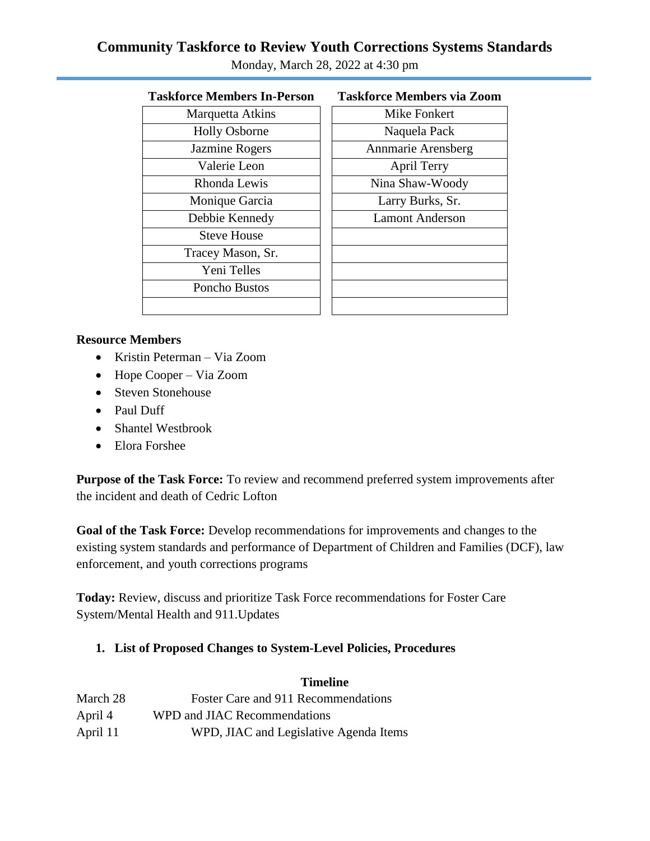# **Community Taskforce to Review Youth Corrections Systems Standards**

| Taskforce Members In-Person | <b>Taskforce Members v</b> |
|-----------------------------|----------------------------|
| Marquetta Atkins            | <b>Mike Fonkert</b>        |
| <b>Holly Osborne</b>        | Naquela Pack               |
| Jazmine Rogers              | Annmarie Arensb            |
| Valerie Leon                | April Terry                |
| Rhonda Lewis                | Nina Shaw-Woo              |
| Monique Garcia              | Larry Burks, S             |
| Debbie Kennedy              | <b>Lamont Anders</b>       |
| <b>Steve House</b>          |                            |
| Tracey Mason, Sr.           |                            |
| Yeni Telles                 |                            |
| Poncho Bustos               |                            |
|                             |                            |
|                             |                            |

Monday, March 28, 2022 at 4:30 pm

# **Taskforce Members In-Person Taskforce Members via Zoom**

| Marquetta Atkins     | Mike Fonkert           |
|----------------------|------------------------|
| <b>Holly Osborne</b> | Naquela Pack           |
| Jazmine Rogers       | Annmarie Arensberg     |
| Valerie Leon         | <b>April Terry</b>     |
| Rhonda Lewis         | Nina Shaw-Woody        |
| Monique Garcia       | Larry Burks, Sr.       |
| Debbie Kennedy       | <b>Lamont Anderson</b> |
| <b>Steve House</b>   |                        |
| Tracey Mason, Sr.    |                        |
| Yeni Telles          |                        |
| Poncho Bustos        |                        |
|                      |                        |
|                      |                        |

#### **Resource Members**

- Kristin Peterman Via Zoom
- Hope Cooper Via Zoom
- Steven Stonehouse
- Paul Duff
- Shantel Westbrook
- Elora Forshee

**Purpose of the Task Force:** To review and recommend preferred system improvements after the incident and death of Cedric Lofton

**Goal of the Task Force:** Develop recommendations for improvements and changes to the existing system standards and performance of Department of Children and Families (DCF), law enforcement, and youth corrections programs

**Today:** Review, discuss and prioritize Task Force recommendations for Foster Care System/Mental Health and 911.Updates

### **1. List of Proposed Changes to System-Level Policies, Procedures**

|          | <b>Timeline</b>                        |
|----------|----------------------------------------|
| March 28 | Foster Care and 911 Recommendations    |
| April 4  | WPD and JIAC Recommendations           |
| April 11 | WPD, JIAC and Legislative Agenda Items |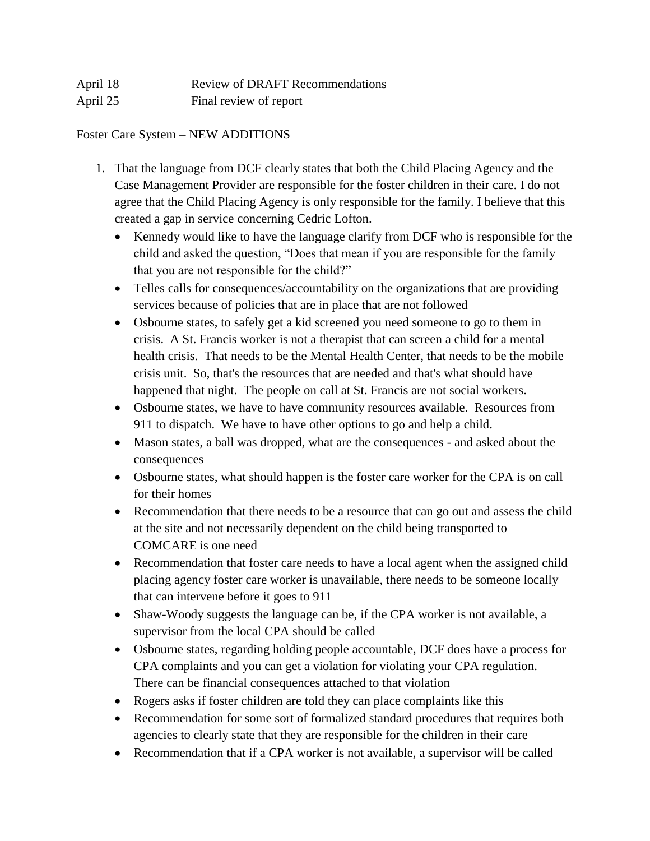| April 18 | <b>Review of DRAFT Recommendations</b> |
|----------|----------------------------------------|
| April 25 | Final review of report                 |

Foster Care System – NEW ADDITIONS

- 1. That the language from DCF clearly states that both the Child Placing Agency and the Case Management Provider are responsible for the foster children in their care. I do not agree that the Child Placing Agency is only responsible for the family. I believe that this created a gap in service concerning Cedric Lofton.
	- Kennedy would like to have the language clarify from DCF who is responsible for the child and asked the question, "Does that mean if you are responsible for the family that you are not responsible for the child?"
	- Telles calls for consequences/accountability on the organizations that are providing services because of policies that are in place that are not followed
	- Osbourne states, to safely get a kid screened you need someone to go to them in crisis. A St. Francis worker is not a therapist that can screen a child for a mental health crisis. That needs to be the Mental Health Center, that needs to be the mobile crisis unit. So, that's the resources that are needed and that's what should have happened that night. The people on call at St. Francis are not social workers.
	- Osbourne states, we have to have community resources available. Resources from 911 to dispatch. We have to have other options to go and help a child.
	- Mason states, a ball was dropped, what are the consequences and asked about the consequences
	- Osbourne states, what should happen is the foster care worker for the CPA is on call for their homes
	- Recommendation that there needs to be a resource that can go out and assess the child at the site and not necessarily dependent on the child being transported to COMCARE is one need
	- Recommendation that foster care needs to have a local agent when the assigned child placing agency foster care worker is unavailable, there needs to be someone locally that can intervene before it goes to 911
	- Shaw-Woody suggests the language can be, if the CPA worker is not available, a supervisor from the local CPA should be called
	- Osbourne states, regarding holding people accountable, DCF does have a process for CPA complaints and you can get a violation for violating your CPA regulation. There can be financial consequences attached to that violation
	- Rogers asks if foster children are told they can place complaints like this
	- Recommendation for some sort of formalized standard procedures that requires both agencies to clearly state that they are responsible for the children in their care
	- Recommendation that if a CPA worker is not available, a supervisor will be called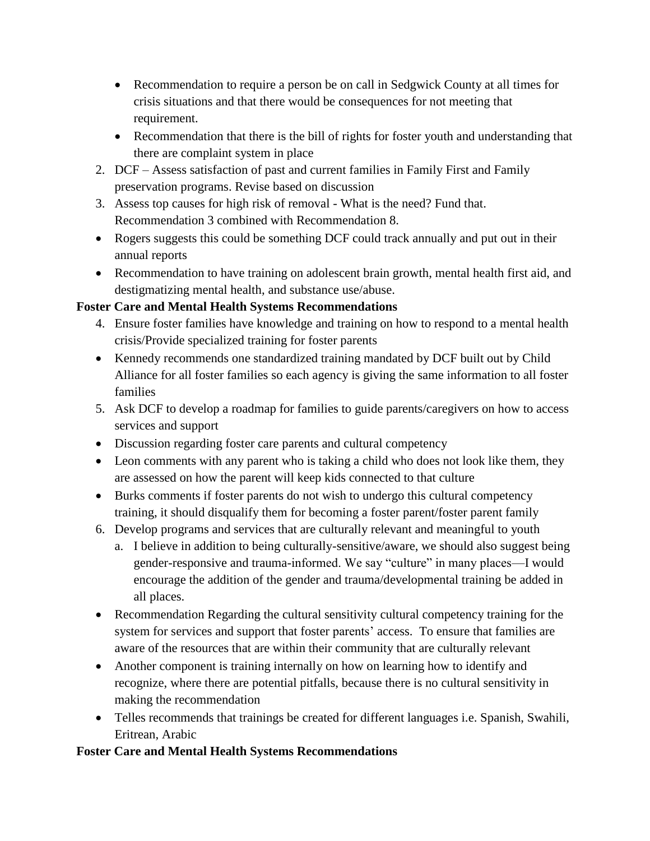- Recommendation to require a person be on call in Sedgwick County at all times for crisis situations and that there would be consequences for not meeting that requirement.
- Recommendation that there is the bill of rights for foster youth and understanding that there are complaint system in place
- 2. DCF Assess satisfaction of past and current families in Family First and Family preservation programs. Revise based on discussion
- 3. Assess top causes for high risk of removal What is the need? Fund that. Recommendation 3 combined with Recommendation 8.
- Rogers suggests this could be something DCF could track annually and put out in their annual reports
- Recommendation to have training on adolescent brain growth, mental health first aid, and destigmatizing mental health, and substance use/abuse.

## **Foster Care and Mental Health Systems Recommendations**

- 4. Ensure foster families have knowledge and training on how to respond to a mental health crisis/Provide specialized training for foster parents
- Kennedy recommends one standardized training mandated by DCF built out by Child Alliance for all foster families so each agency is giving the same information to all foster families
- 5. Ask DCF to develop a roadmap for families to guide parents/caregivers on how to access services and support
- Discussion regarding foster care parents and cultural competency
- Leon comments with any parent who is taking a child who does not look like them, they are assessed on how the parent will keep kids connected to that culture
- Burks comments if foster parents do not wish to undergo this cultural competency training, it should disqualify them for becoming a foster parent/foster parent family
- 6. Develop programs and services that are culturally relevant and meaningful to youth
	- a. I believe in addition to being culturally-sensitive/aware, we should also suggest being gender-responsive and trauma-informed. We say "culture" in many places—I would encourage the addition of the gender and trauma/developmental training be added in all places.
- Recommendation Regarding the cultural sensitivity cultural competency training for the system for services and support that foster parents' access. To ensure that families are aware of the resources that are within their community that are culturally relevant
- Another component is training internally on how on learning how to identify and recognize, where there are potential pitfalls, because there is no cultural sensitivity in making the recommendation
- Telles recommends that trainings be created for different languages i.e. Spanish, Swahili, Eritrean, Arabic

### **Foster Care and Mental Health Systems Recommendations**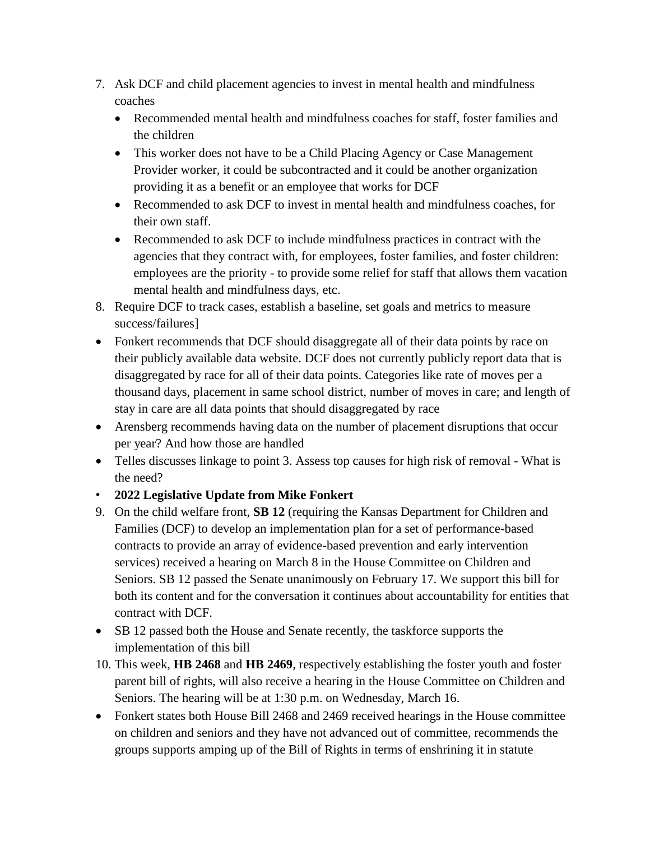- 7. Ask DCF and child placement agencies to invest in mental health and mindfulness coaches
	- Recommended mental health and mindfulness coaches for staff, foster families and the children
	- This worker does not have to be a Child Placing Agency or Case Management Provider worker, it could be subcontracted and it could be another organization providing it as a benefit or an employee that works for DCF
	- Recommended to ask DCF to invest in mental health and mindfulness coaches, for their own staff.
	- Recommended to ask DCF to include mindfulness practices in contract with the agencies that they contract with, for employees, foster families, and foster children: employees are the priority - to provide some relief for staff that allows them vacation mental health and mindfulness days, etc.
- 8. Require DCF to track cases, establish a baseline, set goals and metrics to measure success/failures]
- Fonkert recommends that DCF should disaggregate all of their data points by race on their publicly available data website. DCF does not currently publicly report data that is disaggregated by race for all of their data points. Categories like rate of moves per a thousand days, placement in same school district, number of moves in care; and length of stay in care are all data points that should disaggregated by race
- Arensberg recommends having data on the number of placement disruptions that occur per year? And how those are handled
- Telles discusses linkage to point 3. Assess top causes for high risk of removal What is the need?
- **2022 Legislative Update from Mike Fonkert**
- 9. On the child welfare front, **SB 12** (requiring the Kansas Department for Children and Families (DCF) to develop an implementation plan for a set of performance-based contracts to provide an array of evidence-based prevention and early intervention services) received a hearing on March 8 in the House Committee on Children and Seniors. SB 12 passed the Senate unanimously on February 17. We support this bill for both its content and for the conversation it continues about accountability for entities that contract with DCF.
- SB 12 passed both the House and Senate recently, the taskforce supports the implementation of this bill
- 10. This week, **HB 2468** and **HB 2469**, respectively establishing the foster youth and foster parent bill of rights, will also receive a hearing in the House Committee on Children and Seniors. The hearing will be at 1:30 p.m. on Wednesday, March 16.
- Fonkert states both House Bill 2468 and 2469 received hearings in the House committee on children and seniors and they have not advanced out of committee, recommends the groups supports amping up of the Bill of Rights in terms of enshrining it in statute